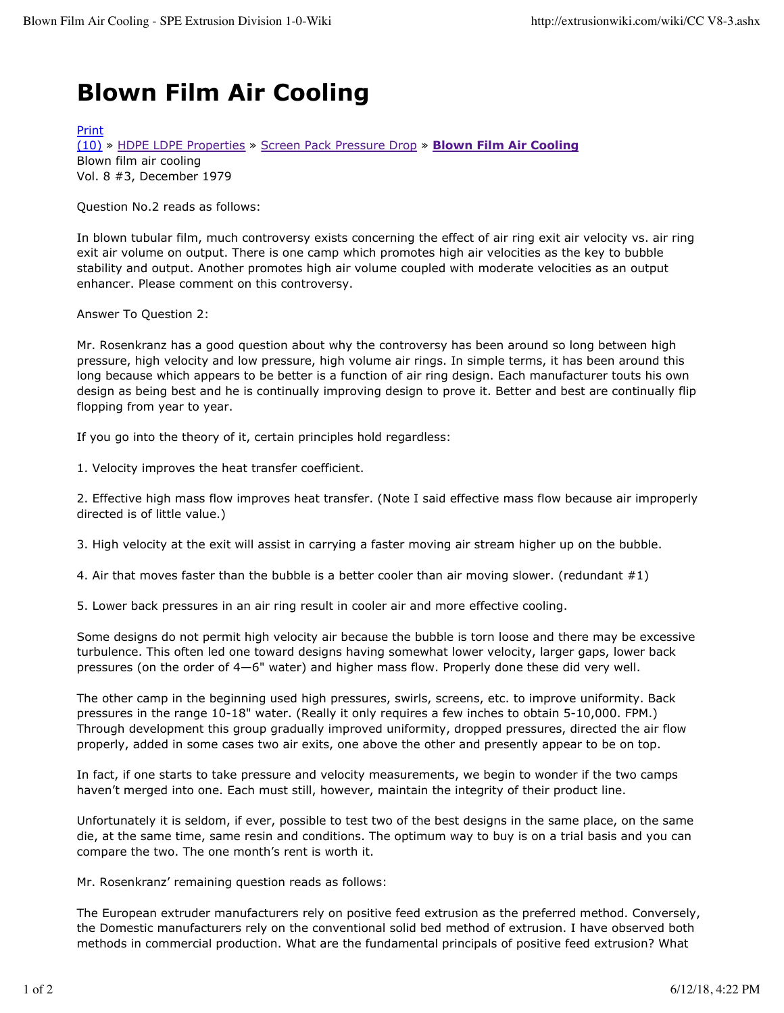## **Blown Film Air Cooling**

## Print

(10) » HDPE LDPE Properties » Screen Pack Pressure Drop » **Blown Film Air Cooling** Blown film air cooling Vol. 8 #3, December 1979

Question No.2 reads as follows:

In blown tubular film, much controversy exists concerning the effect of air ring exit air velocity vs. air ring exit air volume on output. There is one camp which promotes high air velocities as the key to bubble stability and output. Another promotes high air volume coupled with moderate velocities as an output enhancer. Please comment on this controversy.

Answer To Question 2:

Mr. Rosenkranz has a good question about why the controversy has been around so long between high pressure, high velocity and low pressure, high volume air rings. In simple terms, it has been around this long because which appears to be better is a function of air ring design. Each manufacturer touts his own design as being best and he is continually improving design to prove it. Better and best are continually flip flopping from year to year.

If you go into the theory of it, certain principles hold regardless:

1. Velocity improves the heat transfer coefficient.

2. Effective high mass flow improves heat transfer. (Note I said effective mass flow because air improperly directed is of little value.)

3. High velocity at the exit will assist in carrying a faster moving air stream higher up on the bubble.

4. Air that moves faster than the bubble is a better cooler than air moving slower. (redundant #1)

5. Lower back pressures in an air ring result in cooler air and more effective cooling.

Some designs do not permit high velocity air because the bubble is torn loose and there may be excessive turbulence. This often led one toward designs having somewhat lower velocity, larger gaps, lower back pressures (on the order of 4—6" water) and higher mass flow. Properly done these did very well.

The other camp in the beginning used high pressures, swirls, screens, etc. to improve uniformity. Back pressures in the range 10-18" water. (Really it only requires a few inches to obtain 5-10,000. FPM.) Through development this group gradually improved uniformity, dropped pressures, directed the air flow properly, added in some cases two air exits, one above the other and presently appear to be on top.

In fact, if one starts to take pressure and velocity measurements, we begin to wonder if the two camps haven't merged into one. Each must still, however, maintain the integrity of their product line.

Unfortunately it is seldom, if ever, possible to test two of the best designs in the same place, on the same die, at the same time, same resin and conditions. The optimum way to buy is on a trial basis and you can compare the two. The one month's rent is worth it.

Mr. Rosenkranz' remaining question reads as follows:

The European extruder manufacturers rely on positive feed extrusion as the preferred method. Conversely, the Domestic manufacturers rely on the conventional solid bed method of extrusion. I have observed both methods in commercial production. What are the fundamental principals of positive feed extrusion? What